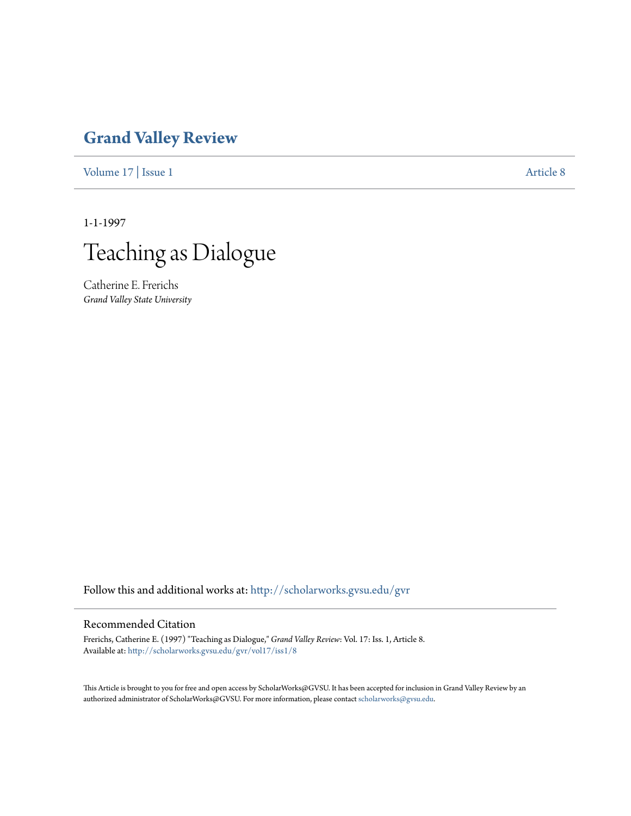## **[Grand Valley Review](http://scholarworks.gvsu.edu/gvr?utm_source=scholarworks.gvsu.edu%2Fgvr%2Fvol17%2Fiss1%2F8&utm_medium=PDF&utm_campaign=PDFCoverPages)**

[Volume 17](http://scholarworks.gvsu.edu/gvr/vol17?utm_source=scholarworks.gvsu.edu%2Fgvr%2Fvol17%2Fiss1%2F8&utm_medium=PDF&utm_campaign=PDFCoverPages) | [Issue 1](http://scholarworks.gvsu.edu/gvr/vol17/iss1?utm_source=scholarworks.gvsu.edu%2Fgvr%2Fvol17%2Fiss1%2F8&utm_medium=PDF&utm_campaign=PDFCoverPages) [Article 8](http://scholarworks.gvsu.edu/gvr/vol17/iss1/8?utm_source=scholarworks.gvsu.edu%2Fgvr%2Fvol17%2Fiss1%2F8&utm_medium=PDF&utm_campaign=PDFCoverPages)

1-1-1997



Catherine E. Frerichs *Grand Valley State University*

Follow this and additional works at: [http://scholarworks.gvsu.edu/gvr](http://scholarworks.gvsu.edu/gvr?utm_source=scholarworks.gvsu.edu%2Fgvr%2Fvol17%2Fiss1%2F8&utm_medium=PDF&utm_campaign=PDFCoverPages)

## Recommended Citation

Frerichs, Catherine E. (1997) "Teaching as Dialogue," *Grand Valley Review*: Vol. 17: Iss. 1, Article 8. Available at: [http://scholarworks.gvsu.edu/gvr/vol17/iss1/8](http://scholarworks.gvsu.edu/gvr/vol17/iss1/8?utm_source=scholarworks.gvsu.edu%2Fgvr%2Fvol17%2Fiss1%2F8&utm_medium=PDF&utm_campaign=PDFCoverPages)

This Article is brought to you for free and open access by ScholarWorks@GVSU. It has been accepted for inclusion in Grand Valley Review by an authorized administrator of ScholarWorks@GVSU. For more information, please contact [scholarworks@gvsu.edu.](mailto:scholarworks@gvsu.edu)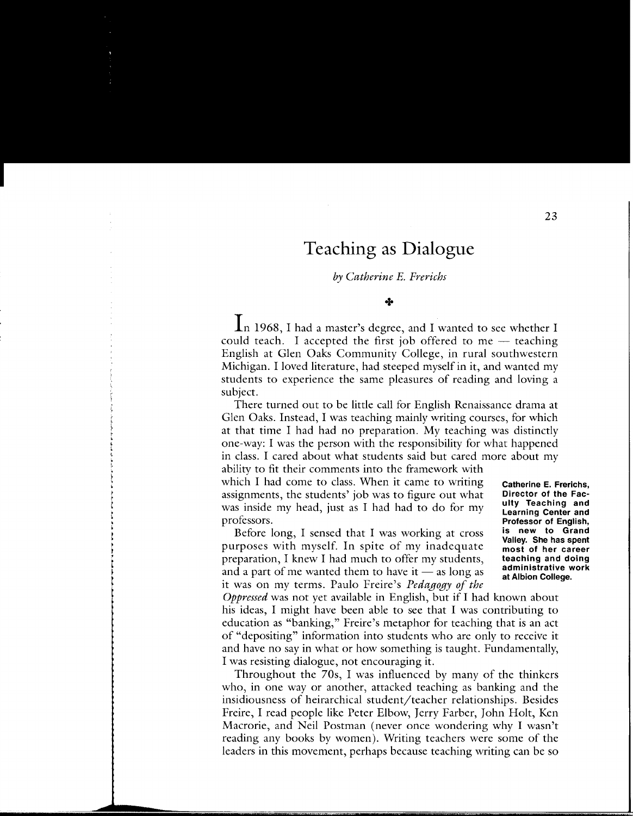## **Teaching as Dialogue**

*by Catherine* E. *Frerichs* 

+

In 1968, I had a master's degree, and I wanted to *see* whether I could teach. I accepted the first job offered to me  $-$  teaching English at Glen Oaks Community College, in rural southwestern Michigan. I loved literature, had steeped myself in it, and wanted my students to experience the same pleasures of reading and loving a subject.

There turned out to be little call for English Renaissance drama at Glen Oaks. Instead, I was teaching mainly writing courses, for which at that time I had had no preparation. My teaching was distinctly one-way: I was the person with the responsibility for what happened in class. I cared about what students said but cared more about my

ability to fit their comments into the framework with which I had come to class. When it came to writing assignments, the students' job was to figure out what was inside my head, just as I had had to do for my professors.

Before long, I sensed that I was working at cross purposes with myself. In spite of my inadequate preparation, I knew I had much to offer my students, and a part of me wanted them to have it  $-$  as long as it was on my terms. Paulo Freire's *Pedagogy of the*  **Catherine E. Frerichs, Director of the Faculty Teaching and Learning Center and Professor of English, is new to Grand Valley. She has spent most of her career teaching and doing administrative work at Albion College.** 

*Oppressed* was not yet available in English, but if I had known about his ideas, I might have been able to *see* that I was contributing to education as "banking," Freire's metaphor for teaching that is an act of "depositing" information into students who are only to receive it and have no say in what or how something is taught. Fundamentally, I was resisting dialogue, not encouraging it.

Throughout the 70s, I was influenced by many of the thinkers who, in one way or another, attacked teaching as banking and the insidiousness of heirarchical student/teacher relationships. Besides Freire, I read people like Peter Elbow, Jerry Farber, John Holt, Ken Macrorie, and Neil Postman (never once wondering why I wasn't reading any books by women). Writing teachers were some of the leaders in this movement, perhaps because teaching writing can be so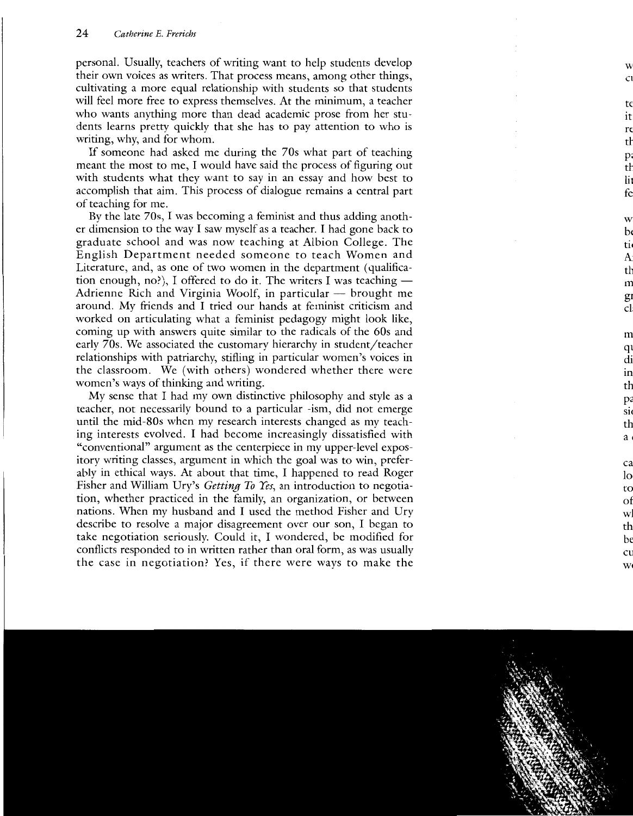personal. Usually, teachers of writing want to help students develop their own voices as writers. That process means, among other things, cultivating a more equal relationship with students so that students will feel more free to express themselves. At the minimum, a teacher who wants anything more than dead academic prose from her students learns pretty quickly that she has to pay attention to who is writing, why, and for whom.

If someone had asked me during the 70s what part of teaching meant the most to me, I would have said the process of figuring out with students what they want to say in an essay and how best to accomplish that aim. This process of dialogue remains a central part of teaching for me.

By the late 70s, I was becoming a feminist and thus adding another dimension to the way I saw myself as a teacher. I had gone back to graduate school and was now teaching at Albion College. The English Department needed someone to teach Women and Literature, and, as one of two women in the department ( qualification enough, no?), I offered to do it. The writers I was teaching  $-$ Adrienne Rich and Virginia Woolf, in particular  $-$  brought me around. My friends and I tried our hands at feminist criticism and worked on articulating what a feminist pedagogy might look like, coming up with answers quite similar to the radicals of the 60s and early 70s. We associated the customary hierarchy in student/teacher relationships with patriarchy, stifling in particular women's voices in the classroom. We (with others) wondered whether there were women's ways of thinking and writing.

My sense that I had my own distinctive philosophy and style as a teacher, not necessarily bound to a particular -ism, did not emerge until the mid-80s when my research interests changed as my teaching interests evolved. I had become increasingly dissatisfied with "conventional" argument as the centerpiece in my upper-level expository writing classes, argument in which the goal was to win, preferably in ethical ways. At about that time, I happened to read Roger Fisher and William Dry's *Getting To Yes,* an introduction to negotiation, whether practiced in the family, an organization, or between nations. When my husband and I used the method Fisher and Ury describe to resolve a major disagreement over our son, I began to take negotiation seriously. Could it, I wondered, be modified for conflicts responded to in written rather than oral form, as was usually the case in negotiation? Yes, if there were ways to make the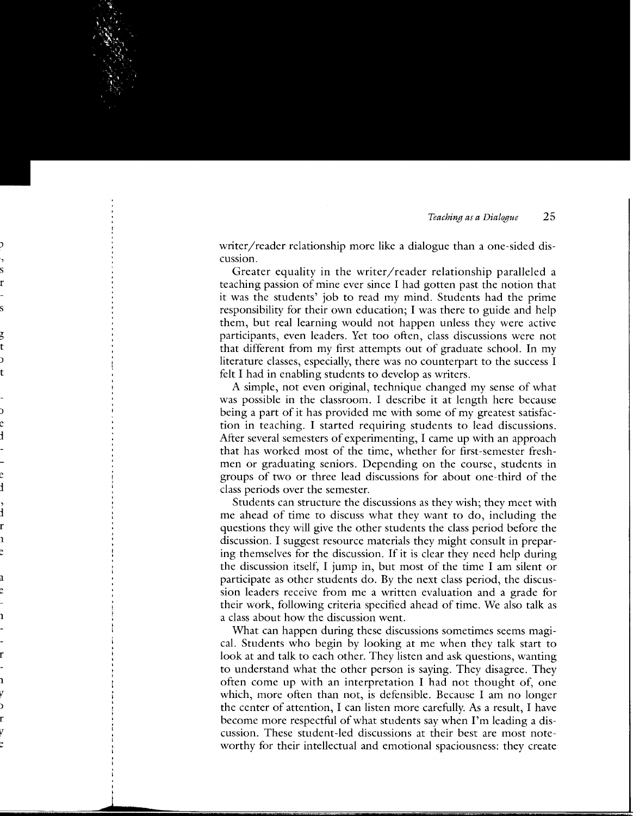writer/reader relationship more like a dialogue than a one-sided discussiOn.

Greater equality in the writer/reader relationship paralleled a teaching passion of mine ever since I had gotten past the notion that it was the students' job to read my mind. Students had the prime responsibility for their own education; I was there to guide and help them, but real learning would not happen unless they were active participants, even leaders. Yet too often, class discussions were not that different from my first attempts out of graduate school. In my literature classes, especially, there was no counterpart to the success I felt I had in enabling students to develop as writers.

A simple, not even original, technique changed my sense of what was possible in the classroom. I describe it at length here because being a part of it has provided me with some of my greatest satisfaction in teaching. I started requiring students to lead discussions. After several semesters of experimenting, I came up with an approach that has worked most of the time, whether for first-semester freshmen or graduating seniors. Depending on the course, students in groups of two or three lead discussions for about one-third of the class periods over the semester.

Students can structure the discussions as they wish; they meet with me ahead of time to discuss what they want to do, including the questions they will give the other students the class period before the discussion. I suggest resource materials they might consult in preparing themselves for the discussion. If it is clear they need help during the discussion itself, I jump in, but most of the time I am silent or participate as other students do. By the next class period, the discussion leaders receive from me a written evaluation and a grade for their work, following criteria specified ahead of time. We also talk as a class about how the discussion went.

What can happen during these discussions sometimes seems magical. Students who begin by looking at me when they talk start to look at and talk to each other. They listen and ask questions, wanting to understand what the other person is saying. They disagree. They often come up with an interpretation I had not thought of, one which, more often than not, is defensible. Because I am no longer the center of attention, I can listen more carefully. As a result, I have become more respectful of what students say when I'm leading a discussion. These student-led discussions at their best are most noteworthy for their intellectual and emotional spaciousness: they create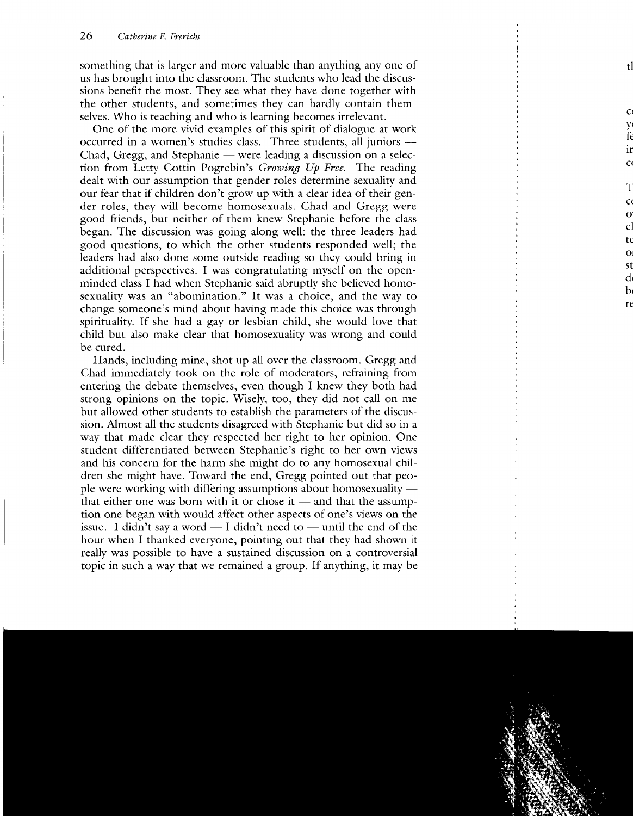something that is larger and more valuable than anything any one of us has brought into the classroom. The students who lead the discussions benefit the most. They see what they have done together with the other students, and sometimes they can hardly contain themselves. Who is teaching and who is learning becomes irrelevant.

One of the more vivid examples of this spirit of dialogue at work occurred in a women's studies class. Three students, all juniors -Chad, Gregg, and Stephanie — were leading a discussion on a selection from Letty Cottin Pogrebin's *Growing* Up *Free.* The reading dealt with our assumption that gender roles determine sexuality and our fear that if children don't grow up with a clear idea of their gender roles, they will become homosexuals. Chad and Gregg were good friends, but neither of them knew Stephanie before the class began. The discussion was going along well: the three leaders had good questions, to which the other students responded well; the leaders had also done some outside reading so they could bring in additional perspectives. I was congratulating myself on the openminded class I had when Stephanie said abruptly she believed homosexuality was an "abomination." It was a choice, and the way to change someone's mind about having made this choice was through spirituality. If she had a gay or lesbian child, she would love that child but also make clear that homosexuality was wrong and could be cured.

Hands, including mine, shot up all over the classroom. Gregg and Chad immediately took on the role of moderators, refraining from entering the debate themselves, even though I knew they both had strong opinions on the topic. Wisely, too, they did not call on me but allowed other students to establish the parameters of the discussion. Almost all the students disagreed with Stephanie but did so in a way that made clear they respected her right to her opinion. One student differentiated between Stephanie's right to her own views and his concern for the harm she might do to any homosexual children she might have. Toward the end, Gregg pointed out that people were working with differing assumptions about homosexuality that either one was born with it or chose it  $-$  and that the assumption one began with would affect other aspects of one's views on the issue. I didn't say a word  $-$  I didn't need to  $-$  until the end of the hour when I thanked everyone, pointing out that they had shown it really was possible to have a sustained discussion on a controversial topic in such a way that we remained a group. If anything, it may be